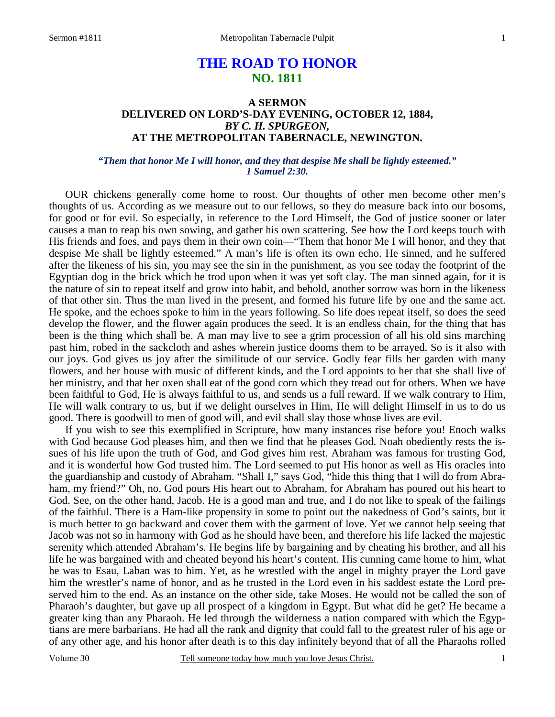# **THE ROAD TO HONOR NO. 1811**

### **A SERMON DELIVERED ON LORD'S-DAY EVENING, OCTOBER 12, 1884,**  *BY C. H. SPURGEON,*  **AT THE METROPOLITAN TABERNACLE, NEWINGTON.**

#### *"Them that honor Me I will honor, and they that despise Me shall be lightly esteemed." 1 Samuel 2:30.*

OUR chickens generally come home to roost. Our thoughts of other men become other men's thoughts of us. According as we measure out to our fellows, so they do measure back into our bosoms, for good or for evil. So especially, in reference to the Lord Himself, the God of justice sooner or later causes a man to reap his own sowing, and gather his own scattering. See how the Lord keeps touch with His friends and foes, and pays them in their own coin—"Them that honor Me I will honor, and they that despise Me shall be lightly esteemed." A man's life is often its own echo. He sinned, and he suffered after the likeness of his sin, you may see the sin in the punishment, as you see today the footprint of the Egyptian dog in the brick which he trod upon when it was yet soft clay. The man sinned again, for it is the nature of sin to repeat itself and grow into habit, and behold, another sorrow was born in the likeness of that other sin. Thus the man lived in the present, and formed his future life by one and the same act. He spoke, and the echoes spoke to him in the years following. So life does repeat itself, so does the seed develop the flower, and the flower again produces the seed. It is an endless chain, for the thing that has been is the thing which shall be. A man may live to see a grim procession of all his old sins marching past him, robed in the sackcloth and ashes wherein justice dooms them to be arrayed. So is it also with our joys. God gives us joy after the similitude of our service. Godly fear fills her garden with many flowers, and her house with music of different kinds, and the Lord appoints to her that she shall live of her ministry, and that her oxen shall eat of the good corn which they tread out for others. When we have been faithful to God, He is always faithful to us, and sends us a full reward. If we walk contrary to Him, He will walk contrary to us, but if we delight ourselves in Him, He will delight Himself in us to do us good. There is goodwill to men of good will, and evil shall slay those whose lives are evil.

 If you wish to see this exemplified in Scripture, how many instances rise before you! Enoch walks with God because God pleases him, and then we find that he pleases God. Noah obediently rests the issues of his life upon the truth of God, and God gives him rest. Abraham was famous for trusting God, and it is wonderful how God trusted him. The Lord seemed to put His honor as well as His oracles into the guardianship and custody of Abraham. "Shall I," says God, "hide this thing that I will do from Abraham, my friend?" Oh, no. God pours His heart out to Abraham, for Abraham has poured out his heart to God. See, on the other hand, Jacob. He is a good man and true, and I do not like to speak of the failings of the faithful. There is a Ham-like propensity in some to point out the nakedness of God's saints, but it is much better to go backward and cover them with the garment of love. Yet we cannot help seeing that Jacob was not so in harmony with God as he should have been, and therefore his life lacked the majestic serenity which attended Abraham's. He begins life by bargaining and by cheating his brother, and all his life he was bargained with and cheated beyond his heart's content. His cunning came home to him, what he was to Esau, Laban was to him. Yet, as he wrestled with the angel in mighty prayer the Lord gave him the wrestler's name of honor, and as he trusted in the Lord even in his saddest estate the Lord preserved him to the end. As an instance on the other side, take Moses. He would not be called the son of Pharaoh's daughter, but gave up all prospect of a kingdom in Egypt. But what did he get? He became a greater king than any Pharaoh. He led through the wilderness a nation compared with which the Egyptians are mere barbarians. He had all the rank and dignity that could fall to the greatest ruler of his age or of any other age, and his honor after death is to this day infinitely beyond that of all the Pharaohs rolled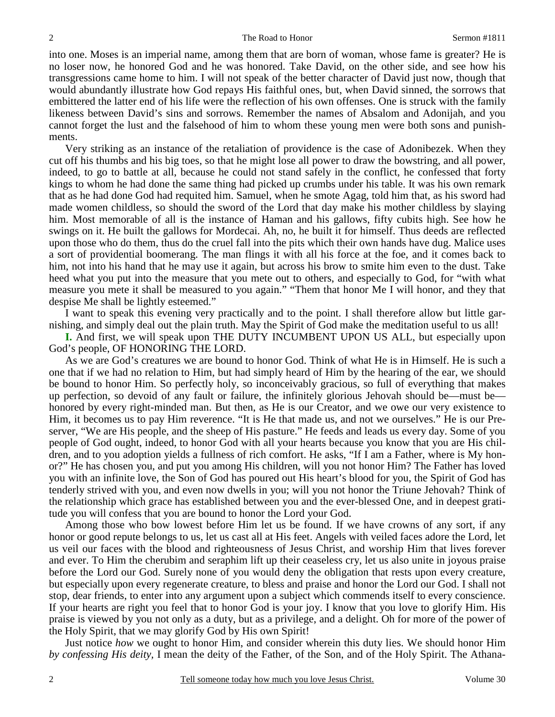into one. Moses is an imperial name, among them that are born of woman, whose fame is greater? He is no loser now, he honored God and he was honored. Take David, on the other side, and see how his transgressions came home to him. I will not speak of the better character of David just now, though that would abundantly illustrate how God repays His faithful ones, but, when David sinned, the sorrows that embittered the latter end of his life were the reflection of his own offenses. One is struck with the family likeness between David's sins and sorrows. Remember the names of Absalom and Adonijah, and you cannot forget the lust and the falsehood of him to whom these young men were both sons and punishments.

 Very striking as an instance of the retaliation of providence is the case of Adonibezek. When they cut off his thumbs and his big toes, so that he might lose all power to draw the bowstring, and all power, indeed, to go to battle at all, because he could not stand safely in the conflict, he confessed that forty kings to whom he had done the same thing had picked up crumbs under his table. It was his own remark that as he had done God had requited him. Samuel, when he smote Agag, told him that, as his sword had made women childless, so should the sword of the Lord that day make his mother childless by slaying him. Most memorable of all is the instance of Haman and his gallows, fifty cubits high. See how he swings on it. He built the gallows for Mordecai. Ah, no, he built it for himself. Thus deeds are reflected upon those who do them, thus do the cruel fall into the pits which their own hands have dug. Malice uses a sort of providential boomerang. The man flings it with all his force at the foe, and it comes back to him, not into his hand that he may use it again, but across his brow to smite him even to the dust. Take heed what you put into the measure that you mete out to others, and especially to God, for "with what measure you mete it shall be measured to you again." "Them that honor Me I will honor, and they that despise Me shall be lightly esteemed."

 I want to speak this evening very practically and to the point. I shall therefore allow but little garnishing, and simply deal out the plain truth. May the Spirit of God make the meditation useful to us all!

**I.** And first, we will speak upon THE DUTY INCUMBENT UPON US ALL, but especially upon God's people, OF HONORING THE LORD.

 As we are God's creatures we are bound to honor God. Think of what He is in Himself. He is such a one that if we had no relation to Him, but had simply heard of Him by the hearing of the ear, we should be bound to honor Him. So perfectly holy, so inconceivably gracious, so full of everything that makes up perfection, so devoid of any fault or failure, the infinitely glorious Jehovah should be—must be honored by every right-minded man. But then, as He is our Creator, and we owe our very existence to Him, it becomes us to pay Him reverence. "It is He that made us, and not we ourselves." He is our Preserver, "We are His people, and the sheep of His pasture." He feeds and leads us every day. Some of you people of God ought, indeed, to honor God with all your hearts because you know that you are His children, and to you adoption yields a fullness of rich comfort. He asks, "If I am a Father, where is My honor?" He has chosen you, and put you among His children, will you not honor Him? The Father has loved you with an infinite love, the Son of God has poured out His heart's blood for you, the Spirit of God has tenderly strived with you, and even now dwells in you; will you not honor the Triune Jehovah? Think of the relationship which grace has established between you and the ever-blessed One, and in deepest gratitude you will confess that you are bound to honor the Lord your God.

 Among those who bow lowest before Him let us be found. If we have crowns of any sort, if any honor or good repute belongs to us, let us cast all at His feet. Angels with veiled faces adore the Lord, let us veil our faces with the blood and righteousness of Jesus Christ, and worship Him that lives forever and ever. To Him the cherubim and seraphim lift up their ceaseless cry, let us also unite in joyous praise before the Lord our God. Surely none of you would deny the obligation that rests upon every creature, but especially upon every regenerate creature, to bless and praise and honor the Lord our God. I shall not stop, dear friends, to enter into any argument upon a subject which commends itself to every conscience. If your hearts are right you feel that to honor God is your joy. I know that you love to glorify Him. His praise is viewed by you not only as a duty, but as a privilege, and a delight. Oh for more of the power of the Holy Spirit, that we may glorify God by His own Spirit!

 Just notice *how* we ought to honor Him, and consider wherein this duty lies. We should honor Him *by confessing His deity,* I mean the deity of the Father, of the Son, and of the Holy Spirit. The Athana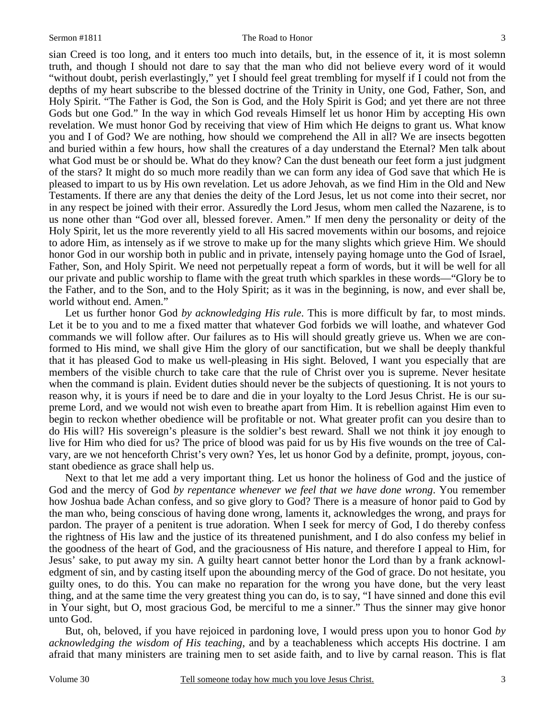sian Creed is too long, and it enters too much into details, but, in the essence of it, it is most solemn truth, and though I should not dare to say that the man who did not believe every word of it would "without doubt, perish everlastingly," yet I should feel great trembling for myself if I could not from the depths of my heart subscribe to the blessed doctrine of the Trinity in Unity, one God, Father, Son, and Holy Spirit. "The Father is God, the Son is God, and the Holy Spirit is God; and yet there are not three Gods but one God." In the way in which God reveals Himself let us honor Him by accepting His own revelation. We must honor God by receiving that view of Him which He deigns to grant us. What know you and I of God? We are nothing, how should we comprehend the All in all? We are insects begotten and buried within a few hours, how shall the creatures of a day understand the Eternal? Men talk about what God must be or should be. What do they know? Can the dust beneath our feet form a just judgment of the stars? It might do so much more readily than we can form any idea of God save that which He is pleased to impart to us by His own revelation. Let us adore Jehovah, as we find Him in the Old and New Testaments. If there are any that denies the deity of the Lord Jesus, let us not come into their secret, nor in any respect be joined with their error. Assuredly the Lord Jesus, whom men called the Nazarene, is to us none other than "God over all, blessed forever. Amen." If men deny the personality or deity of the Holy Spirit, let us the more reverently yield to all His sacred movements within our bosoms, and rejoice to adore Him, as intensely as if we strove to make up for the many slights which grieve Him. We should honor God in our worship both in public and in private, intensely paying homage unto the God of Israel, Father, Son, and Holy Spirit. We need not perpetually repeat a form of words, but it will be well for all our private and public worship to flame with the great truth which sparkles in these words—"Glory be to the Father, and to the Son, and to the Holy Spirit; as it was in the beginning, is now, and ever shall be, world without end. Amen."

 Let us further honor God *by acknowledging His rule*. This is more difficult by far, to most minds. Let it be to you and to me a fixed matter that whatever God forbids we will loathe, and whatever God commands we will follow after. Our failures as to His will should greatly grieve us. When we are conformed to His mind, we shall give Him the glory of our sanctification, but we shall be deeply thankful that it has pleased God to make us well-pleasing in His sight. Beloved, I want you especially that are members of the visible church to take care that the rule of Christ over you is supreme. Never hesitate when the command is plain. Evident duties should never be the subjects of questioning. It is not yours to reason why, it is yours if need be to dare and die in your loyalty to the Lord Jesus Christ. He is our supreme Lord, and we would not wish even to breathe apart from Him. It is rebellion against Him even to begin to reckon whether obedience will be profitable or not. What greater profit can you desire than to do His will? His sovereign's pleasure is the soldier's best reward. Shall we not think it joy enough to live for Him who died for us? The price of blood was paid for us by His five wounds on the tree of Calvary, are we not henceforth Christ's very own? Yes, let us honor God by a definite, prompt, joyous, constant obedience as grace shall help us.

 Next to that let me add a very important thing. Let us honor the holiness of God and the justice of God and the mercy of God *by repentance whenever we feel that we have done wrong*. You remember how Joshua bade Achan confess, and so give glory to God? There is a measure of honor paid to God by the man who, being conscious of having done wrong, laments it, acknowledges the wrong, and prays for pardon. The prayer of a penitent is true adoration. When I seek for mercy of God, I do thereby confess the rightness of His law and the justice of its threatened punishment, and I do also confess my belief in the goodness of the heart of God, and the graciousness of His nature, and therefore I appeal to Him, for Jesus' sake, to put away my sin. A guilty heart cannot better honor the Lord than by a frank acknowledgment of sin, and by casting itself upon the abounding mercy of the God of grace. Do not hesitate, you guilty ones, to do this. You can make no reparation for the wrong you have done, but the very least thing, and at the same time the very greatest thing you can do, is to say, "I have sinned and done this evil in Your sight, but O, most gracious God, be merciful to me a sinner." Thus the sinner may give honor unto God.

 But, oh, beloved, if you have rejoiced in pardoning love, I would press upon you to honor God *by acknowledging the wisdom of His teaching*, and by a teachableness which accepts His doctrine. I am afraid that many ministers are training men to set aside faith, and to live by carnal reason. This is flat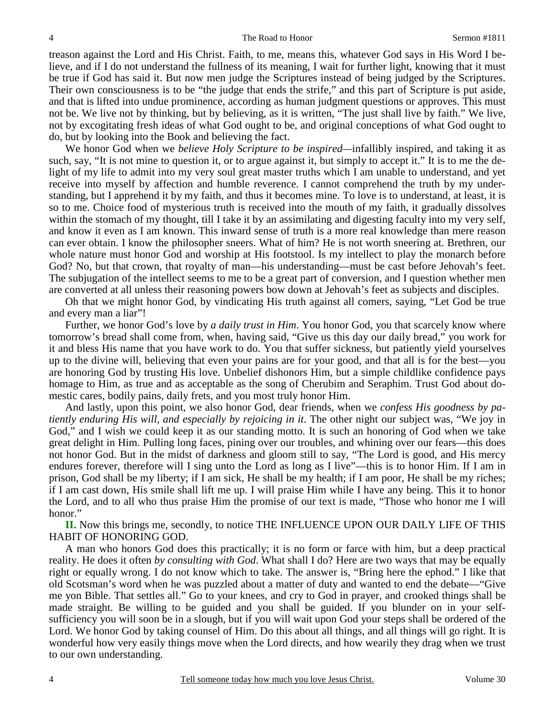treason against the Lord and His Christ. Faith, to me, means this, whatever God says in His Word I believe, and if I do not understand the fullness of its meaning, I wait for further light, knowing that it must be true if God has said it. But now men judge the Scriptures instead of being judged by the Scriptures. Their own consciousness is to be "the judge that ends the strife," and this part of Scripture is put aside, and that is lifted into undue prominence, according as human judgment questions or approves. This must not be. We live not by thinking, but by believing, as it is written, "The just shall live by faith." We live, not by excogitating fresh ideas of what God ought to be, and original conceptions of what God ought to do, but by looking into the Book and believing the fact.

 We honor God when we *believe Holy Scripture to be inspired—*infallibly inspired, and taking it as such, say, "It is not mine to question it, or to argue against it, but simply to accept it." It is to me the delight of my life to admit into my very soul great master truths which I am unable to understand, and yet receive into myself by affection and humble reverence. I cannot comprehend the truth by my understanding, but I apprehend it by my faith, and thus it becomes mine. To love is to understand, at least, it is so to me. Choice food of mysterious truth is received into the mouth of my faith, it gradually dissolves within the stomach of my thought, till I take it by an assimilating and digesting faculty into my very self, and know it even as I am known. This inward sense of truth is a more real knowledge than mere reason can ever obtain. I know the philosopher sneers. What of him? He is not worth sneering at. Brethren, our whole nature must honor God and worship at His footstool. Is my intellect to play the monarch before God? No, but that crown, that royalty of man—his understanding—must be cast before Jehovah's feet. The subjugation of the intellect seems to me to be a great part of conversion, and I question whether men are converted at all unless their reasoning powers bow down at Jehovah's feet as subjects and disciples.

 Oh that we might honor God, by vindicating His truth against all comers, saying, "Let God be true and every man a liar"!

 Further, we honor God's love by *a daily trust in Him*. You honor God, you that scarcely know where tomorrow's bread shall come from, when, having said, "Give us this day our daily bread," you work for it and bless His name that you have work to do. You that suffer sickness, but patiently yield yourselves up to the divine will, believing that even your pains are for your good, and that all is for the best—you are honoring God by trusting His love. Unbelief dishonors Him, but a simple childlike confidence pays homage to Him, as true and as acceptable as the song of Cherubim and Seraphim. Trust God about domestic cares, bodily pains, daily frets, and you most truly honor Him.

 And lastly, upon this point, we also honor God, dear friends, when we *confess His goodness by patiently enduring His will, and especially by rejoicing in it*. The other night our subject was, "We joy in God," and I wish we could keep it as our standing motto. It is such an honoring of God when we take great delight in Him. Pulling long faces, pining over our troubles, and whining over our fears—this does not honor God. But in the midst of darkness and gloom still to say, "The Lord is good, and His mercy endures forever, therefore will I sing unto the Lord as long as I live"—this is to honor Him. If I am in prison, God shall be my liberty; if I am sick, He shall be my health; if I am poor, He shall be my riches; if I am cast down, His smile shall lift me up. I will praise Him while I have any being. This it to honor the Lord, and to all who thus praise Him the promise of our text is made, "Those who honor me I will honor."

**II.** Now this brings me, secondly, to notice THE INFLUENCE UPON OUR DAILY LIFE OF THIS HABIT OF HONORING GOD.

 A man who honors God does this practically; it is no form or farce with him, but a deep practical reality. He does it often *by consulting with God*. What shall I do? Here are two ways that may be equally right or equally wrong. I do not know which to take. The answer is, "Bring here the ephod." I like that old Scotsman's word when he was puzzled about a matter of duty and wanted to end the debate—"Give me yon Bible. That settles all." Go to your knees, and cry to God in prayer, and crooked things shall be made straight. Be willing to be guided and you shall be guided. If you blunder on in your selfsufficiency you will soon be in a slough, but if you will wait upon God your steps shall be ordered of the Lord. We honor God by taking counsel of Him. Do this about all things, and all things will go right. It is wonderful how very easily things move when the Lord directs, and how wearily they drag when we trust to our own understanding.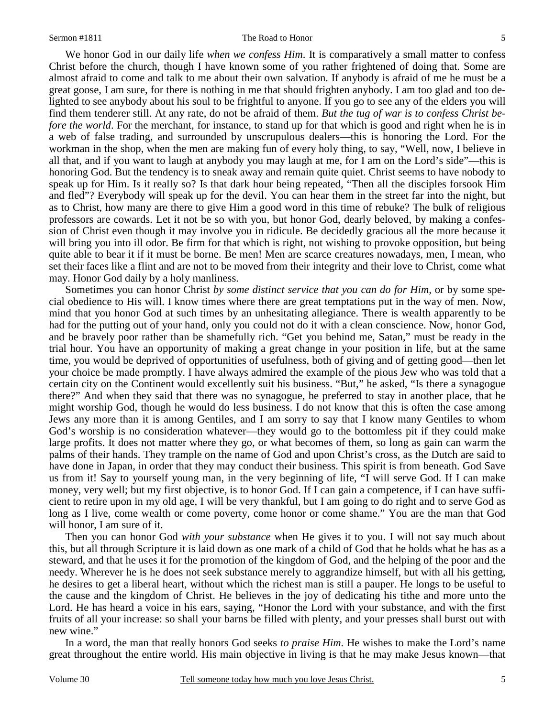We honor God in our daily life *when we confess Him*. It is comparatively a small matter to confess Christ before the church, though I have known some of you rather frightened of doing that. Some are almost afraid to come and talk to me about their own salvation. If anybody is afraid of me he must be a great goose, I am sure, for there is nothing in me that should frighten anybody. I am too glad and too delighted to see anybody about his soul to be frightful to anyone. If you go to see any of the elders you will find them tenderer still. At any rate, do not be afraid of them. *But the tug of war is to confess Christ before the world*. For the merchant, for instance, to stand up for that which is good and right when he is in a web of false trading, and surrounded by unscrupulous dealers—this is honoring the Lord. For the workman in the shop, when the men are making fun of every holy thing, to say, "Well, now, I believe in all that, and if you want to laugh at anybody you may laugh at me, for I am on the Lord's side"—this is honoring God. But the tendency is to sneak away and remain quite quiet. Christ seems to have nobody to speak up for Him. Is it really so? Is that dark hour being repeated, "Then all the disciples forsook Him and fled"? Everybody will speak up for the devil. You can hear them in the street far into the night, but as to Christ, how many are there to give Him a good word in this time of rebuke? The bulk of religious professors are cowards. Let it not be so with you, but honor God, dearly beloved, by making a confession of Christ even though it may involve you in ridicule. Be decidedly gracious all the more because it will bring you into ill odor. Be firm for that which is right, not wishing to provoke opposition, but being

set their faces like a flint and are not to be moved from their integrity and their love to Christ, come what may. Honor God daily by a holy manliness. Sometimes you can honor Christ *by some distinct service that you can do for Him,* or by some special obedience to His will. I know times where there are great temptations put in the way of men. Now, mind that you honor God at such times by an unhesitating allegiance. There is wealth apparently to be had for the putting out of your hand, only you could not do it with a clean conscience. Now, honor God, and be bravely poor rather than be shamefully rich. "Get you behind me, Satan," must be ready in the trial hour. You have an opportunity of making a great change in your position in life, but at the same time, you would be deprived of opportunities of usefulness, both of giving and of getting good—then let your choice be made promptly. I have always admired the example of the pious Jew who was told that a certain city on the Continent would excellently suit his business. "But," he asked, "Is there a synagogue there?" And when they said that there was no synagogue, he preferred to stay in another place, that he might worship God, though he would do less business. I do not know that this is often the case among Jews any more than it is among Gentiles, and I am sorry to say that I know many Gentiles to whom God's worship is no consideration whatever—they would go to the bottomless pit if they could make large profits. It does not matter where they go, or what becomes of them, so long as gain can warm the palms of their hands. They trample on the name of God and upon Christ's cross, as the Dutch are said to have done in Japan, in order that they may conduct their business. This spirit is from beneath. God Save us from it! Say to yourself young man, in the very beginning of life, "I will serve God. If I can make money, very well; but my first objective, is to honor God. If I can gain a competence, if I can have sufficient to retire upon in my old age, I will be very thankful, but I am going to do right and to serve God as long as I live, come wealth or come poverty, come honor or come shame." You are the man that God will honor, I am sure of it.

quite able to bear it if it must be borne. Be men! Men are scarce creatures nowadays, men, I mean, who

 Then you can honor God *with your substance* when He gives it to you. I will not say much about this, but all through Scripture it is laid down as one mark of a child of God that he holds what he has as a steward, and that he uses it for the promotion of the kingdom of God, and the helping of the poor and the needy. Wherever he is he does not seek substance merely to aggrandize himself, but with all his getting, he desires to get a liberal heart, without which the richest man is still a pauper. He longs to be useful to the cause and the kingdom of Christ. He believes in the joy of dedicating his tithe and more unto the Lord. He has heard a voice in his ears, saying, "Honor the Lord with your substance, and with the first fruits of all your increase: so shall your barns be filled with plenty, and your presses shall burst out with new wine."

 In a word, the man that really honors God seeks *to praise Him*. He wishes to make the Lord's name great throughout the entire world. His main objective in living is that he may make Jesus known—that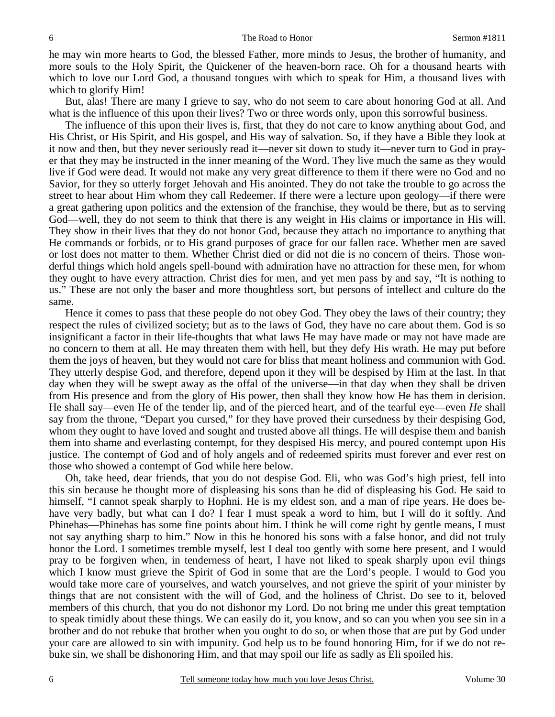he may win more hearts to God, the blessed Father, more minds to Jesus, the brother of humanity, and more souls to the Holy Spirit, the Quickener of the heaven-born race. Oh for a thousand hearts with which to love our Lord God, a thousand tongues with which to speak for Him, a thousand lives with which to glorify Him!

 But, alas! There are many I grieve to say, who do not seem to care about honoring God at all. And what is the influence of this upon their lives? Two or three words only, upon this sorrowful business.

 The influence of this upon their lives is, first, that they do not care to know anything about God, and His Christ, or His Spirit, and His gospel, and His way of salvation. So, if they have a Bible they look at it now and then, but they never seriously read it—never sit down to study it—never turn to God in prayer that they may be instructed in the inner meaning of the Word. They live much the same as they would live if God were dead. It would not make any very great difference to them if there were no God and no Savior, for they so utterly forget Jehovah and His anointed. They do not take the trouble to go across the street to hear about Him whom they call Redeemer. If there were a lecture upon geology—if there were a great gathering upon politics and the extension of the franchise, they would be there, but as to serving God—well, they do not seem to think that there is any weight in His claims or importance in His will. They show in their lives that they do not honor God, because they attach no importance to anything that He commands or forbids, or to His grand purposes of grace for our fallen race. Whether men are saved or lost does not matter to them. Whether Christ died or did not die is no concern of theirs. Those wonderful things which hold angels spell-bound with admiration have no attraction for these men, for whom they ought to have every attraction. Christ dies for men, and yet men pass by and say, "It is nothing to us." These are not only the baser and more thoughtless sort, but persons of intellect and culture do the same.

 Hence it comes to pass that these people do not obey God. They obey the laws of their country; they respect the rules of civilized society; but as to the laws of God, they have no care about them. God is so insignificant a factor in their life-thoughts that what laws He may have made or may not have made are no concern to them at all. He may threaten them with hell, but they defy His wrath. He may put before them the joys of heaven, but they would not care for bliss that meant holiness and communion with God. They utterly despise God, and therefore, depend upon it they will be despised by Him at the last. In that day when they will be swept away as the offal of the universe—in that day when they shall be driven from His presence and from the glory of His power, then shall they know how He has them in derision. He shall say—even He of the tender lip, and of the pierced heart, and of the tearful eye—even *He* shall say from the throne, "Depart you cursed," for they have proved their cursedness by their despising God, whom they ought to have loved and sought and trusted above all things. He will despise them and banish them into shame and everlasting contempt, for they despised His mercy, and poured contempt upon His justice. The contempt of God and of holy angels and of redeemed spirits must forever and ever rest on those who showed a contempt of God while here below.

 Oh, take heed, dear friends, that you do not despise God. Eli, who was God's high priest, fell into this sin because he thought more of displeasing his sons than he did of displeasing his God. He said to himself, "I cannot speak sharply to Hophni. He is my eldest son, and a man of ripe years. He does behave very badly, but what can I do? I fear I must speak a word to him, but I will do it softly. And Phinehas—Phinehas has some fine points about him. I think he will come right by gentle means, I must not say anything sharp to him." Now in this he honored his sons with a false honor, and did not truly honor the Lord. I sometimes tremble myself, lest I deal too gently with some here present, and I would pray to be forgiven when, in tenderness of heart, I have not liked to speak sharply upon evil things which I know must grieve the Spirit of God in some that are the Lord's people. I would to God you would take more care of yourselves, and watch yourselves, and not grieve the spirit of your minister by things that are not consistent with the will of God, and the holiness of Christ. Do see to it, beloved members of this church, that you do not dishonor my Lord. Do not bring me under this great temptation to speak timidly about these things. We can easily do it, you know, and so can you when you see sin in a brother and do not rebuke that brother when you ought to do so, or when those that are put by God under your care are allowed to sin with impunity. God help us to be found honoring Him, for if we do not rebuke sin, we shall be dishonoring Him, and that may spoil our life as sadly as Eli spoiled his.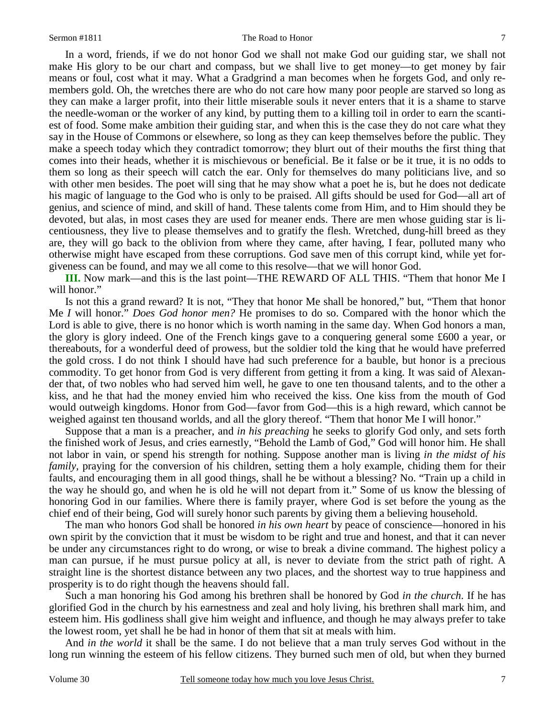In a word, friends, if we do not honor God we shall not make God our guiding star, we shall not make His glory to be our chart and compass, but we shall live to get money—to get money by fair means or foul, cost what it may. What a Gradgrind a man becomes when he forgets God, and only remembers gold. Oh, the wretches there are who do not care how many poor people are starved so long as they can make a larger profit, into their little miserable souls it never enters that it is a shame to starve the needle-woman or the worker of any kind, by putting them to a killing toil in order to earn the scantiest of food. Some make ambition their guiding star, and when this is the case they do not care what they say in the House of Commons or elsewhere, so long as they can keep themselves before the public. They make a speech today which they contradict tomorrow; they blurt out of their mouths the first thing that comes into their heads, whether it is mischievous or beneficial. Be it false or be it true, it is no odds to them so long as their speech will catch the ear. Only for themselves do many politicians live, and so with other men besides. The poet will sing that he may show what a poet he is, but he does not dedicate his magic of language to the God who is only to be praised. All gifts should be used for God—all art of genius, and science of mind, and skill of hand. These talents come from Him, and to Him should they be devoted, but alas, in most cases they are used for meaner ends. There are men whose guiding star is licentiousness, they live to please themselves and to gratify the flesh. Wretched, dung-hill breed as they are, they will go back to the oblivion from where they came, after having, I fear, polluted many who otherwise might have escaped from these corruptions. God save men of this corrupt kind, while yet forgiveness can be found, and may we all come to this resolve—that we will honor God.

 **III.** Now mark—and this is the last point—THE REWARD OF ALL THIS. "Them that honor Me I will honor."

 Is not this a grand reward? It is not, "They that honor Me shall be honored," but, "Them that honor Me *I* will honor." *Does God honor men?* He promises to do so. Compared with the honor which the Lord is able to give, there is no honor which is worth naming in the same day. When God honors a man, the glory is glory indeed. One of the French kings gave to a conquering general some £600 a year, or thereabouts, for a wonderful deed of prowess, but the soldier told the king that he would have preferred the gold cross. I do not think I should have had such preference for a bauble, but honor is a precious commodity. To get honor from God is very different from getting it from a king. It was said of Alexander that, of two nobles who had served him well, he gave to one ten thousand talents, and to the other a kiss, and he that had the money envied him who received the kiss. One kiss from the mouth of God would outweigh kingdoms. Honor from God—favor from God—this is a high reward, which cannot be weighed against ten thousand worlds, and all the glory thereof. "Them that honor Me I will honor."

 Suppose that a man is a preacher, and *in his preaching* he seeks to glorify God only, and sets forth the finished work of Jesus, and cries earnestly, "Behold the Lamb of God," God will honor him. He shall not labor in vain, or spend his strength for nothing. Suppose another man is living *in the midst of his family,* praying for the conversion of his children, setting them a holy example, chiding them for their faults, and encouraging them in all good things, shall he be without a blessing? No. "Train up a child in the way he should go, and when he is old he will not depart from it." Some of us know the blessing of honoring God in our families. Where there is family prayer, where God is set before the young as the chief end of their being, God will surely honor such parents by giving them a believing household.

 The man who honors God shall be honored *in his own heart* by peace of conscience—honored in his own spirit by the conviction that it must be wisdom to be right and true and honest, and that it can never be under any circumstances right to do wrong, or wise to break a divine command. The highest policy a man can pursue, if he must pursue policy at all, is never to deviate from the strict path of right. A straight line is the shortest distance between any two places, and the shortest way to true happiness and prosperity is to do right though the heavens should fall.

 Such a man honoring his God among his brethren shall be honored by God *in the church*. If he has glorified God in the church by his earnestness and zeal and holy living, his brethren shall mark him, and esteem him. His godliness shall give him weight and influence, and though he may always prefer to take the lowest room, yet shall he be had in honor of them that sit at meals with him.

 And *in the world* it shall be the same. I do not believe that a man truly serves God without in the long run winning the esteem of his fellow citizens. They burned such men of old, but when they burned